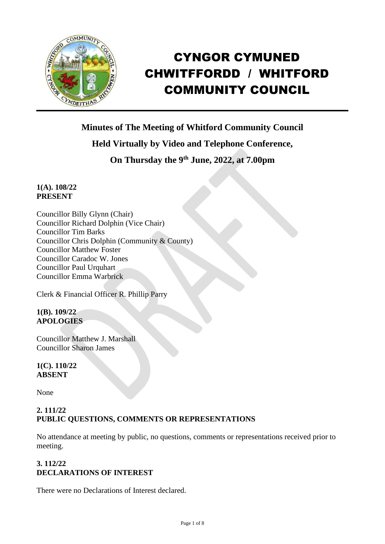

# CYNGOR CYMUNED CHWITFFORDD / WHITFORD COMMUNITY COUNCIL

**Minutes of The Meeting of Whitford Community Council**

# **Held Virtually by Video and Telephone Conference,**

# **On Thursday the 9 th June, 2022, at 7.00pm**

## **1(A). 108/22 PRESENT**

Councillor Billy Glynn (Chair) Councillor Richard Dolphin (Vice Chair) Councillor Tim Barks Councillor Chris Dolphin (Community & County) Councillor Matthew Foster Councillor Caradoc W. Jones Councillor Paul Urquhart Councillor Emma Warbrick

Clerk & Financial Officer R. Phillip Parry

## **1(B). 109/22 APOLOGIES**

Councillor Matthew J. Marshall Councillor Sharon James

## **1(C). 110/22 ABSENT**

None

## **2. 111/22 PUBLIC QUESTIONS, COMMENTS OR REPRESENTATIONS**

No attendance at meeting by public, no questions, comments or representations received prior to meeting.

## **3. 112/22 DECLARATIONS OF INTEREST**

There were no Declarations of Interest declared.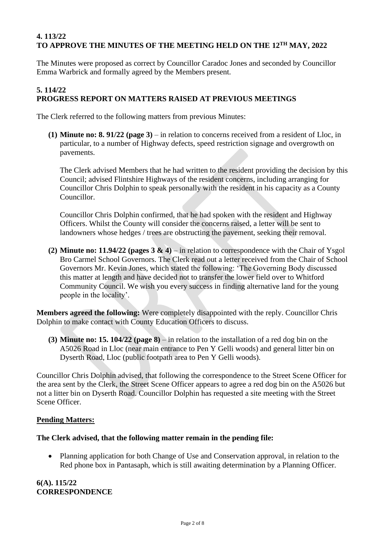## **4. 113/22 TO APPROVE THE MINUTES OF THE MEETING HELD ON THE 12TH MAY, 2022**

The Minutes were proposed as correct by Councillor Caradoc Jones and seconded by Councillor Emma Warbrick and formally agreed by the Members present.

## **5. 114/22 PROGRESS REPORT ON MATTERS RAISED AT PREVIOUS MEETINGS**

The Clerk referred to the following matters from previous Minutes:

**(1) Minute no: 8. 91/22 (page 3)** – in relation to concerns received from a resident of Lloc, in particular, to a number of Highway defects, speed restriction signage and overgrowth on pavements.

The Clerk advised Members that he had written to the resident providing the decision by this Council; advised Flintshire Highways of the resident concerns, including arranging for Councillor Chris Dolphin to speak personally with the resident in his capacity as a County Councillor.

Councillor Chris Dolphin confirmed, that he had spoken with the resident and Highway Officers. Whilst the County will consider the concerns raised, a letter will be sent to landowners whose hedges / trees are obstructing the pavement, seeking their removal.

**(2) Minute no: 11.94/22 (pages 3 & 4)** – in relation to correspondence with the Chair of Ysgol Bro Carmel School Governors. The Clerk read out a letter received from the Chair of School Governors Mr. Kevin Jones, which stated the following: 'The Governing Body discussed this matter at length and have decided not to transfer the lower field over to Whitford Community Council. We wish you every success in finding alternative land for the young people in the locality'.

**Members agreed the following:** Were completely disappointed with the reply. Councillor Chris Dolphin to make contact with County Education Officers to discuss.

**(3) Minute no: 15. 104/22 (page 8)** – in relation to the installation of a red dog bin on the A5026 Road in Lloc (near main entrance to Pen Y Gelli woods) and general litter bin on Dyserth Road, Lloc (public footpath area to Pen Y Gelli woods).

Councillor Chris Dolphin advised, that following the correspondence to the Street Scene Officer for the area sent by the Clerk, the Street Scene Officer appears to agree a red dog bin on the A5026 but not a litter bin on Dyserth Road. Councillor Dolphin has requested a site meeting with the Street Scene Officer.

## **Pending Matters:**

## **The Clerk advised, that the following matter remain in the pending file:**

• Planning application for both Change of Use and Conservation approval, in relation to the Red phone box in Pantasaph, which is still awaiting determination by a Planning Officer.

**6(A). 115/22 CORRESPONDENCE**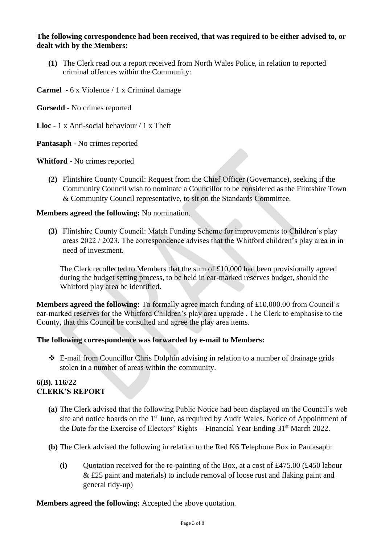#### **The following correspondence had been received, that was required to be either advised to, or dealt with by the Members:**

**(1)** The Clerk read out a report received from North Wales Police, in relation to reported criminal offences within the Community:

**Carmel -** 6 x Violence / 1 x Criminal damage

**Gorsedd** - No crimes reported

**Lloc** - 1 x Anti-social behaviour / 1 x Theft

**Pantasaph -** No crimes reported

**Whitford -** No crimes reported

**(2)** Flintshire County Council: Request from the Chief Officer (Governance), seeking if the Community Council wish to nominate a Councillor to be considered as the Flintshire Town & Community Council representative, to sit on the Standards Committee.

#### **Members agreed the following:** No nomination.

**(3)** Flintshire County Council: Match Funding Scheme for improvements to Children's play areas 2022 / 2023. The correspondence advises that the Whitford children's play area in in need of investment.

The Clerk recollected to Members that the sum of £10,000 had been provisionally agreed during the budget setting process, to be held in ear-marked reserves budget, should the Whitford play area be identified.

**Members agreed the following:** To formally agree match funding of £10,000.00 from Council's ear-marked reserves for the Whitford Children's play area upgrade . The Clerk to emphasise to the County, that this Council be consulted and agree the play area items.

#### **The following correspondence was forwarded by e-mail to Members:**

❖ E-mail from Councillor Chris Dolphin advising in relation to a number of drainage grids stolen in a number of areas within the community.

#### **6(B). 116/22 CLERK'S REPORT**

- **(a)** The Clerk advised that the following Public Notice had been displayed on the Council's web site and notice boards on the  $1<sup>st</sup>$  June, as required by Audit Wales. Notice of Appointment of the Date for the Exercise of Electors' Rights – Financial Year Ending 31st March 2022.
- **(b)** The Clerk advised the following in relation to the Red K6 Telephone Box in Pantasaph:
	- (i) Ouotation received for the re-painting of the Box, at a cost of £475.00  $(£450$  labour & £25 paint and materials) to include removal of loose rust and flaking paint and general tidy-up)

**Members agreed the following:** Accepted the above quotation.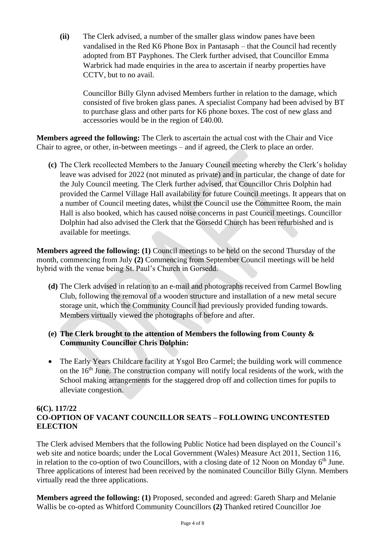**(ii)** The Clerk advised, a number of the smaller glass window panes have been vandalised in the Red K6 Phone Box in Pantasaph – that the Council had recently adopted from BT Payphones. The Clerk further advised, that Councillor Emma Warbrick had made enquiries in the area to ascertain if nearby properties have CCTV, but to no avail.

Councillor Billy Glynn advised Members further in relation to the damage, which consisted of five broken glass panes. A specialist Company had been advised by BT to purchase glass and other parts for K6 phone boxes. The cost of new glass and accessories would be in the region of £40.00.

**Members agreed the following:** The Clerk to ascertain the actual cost with the Chair and Vice Chair to agree, or other, in-between meetings – and if agreed, the Clerk to place an order.

**(c)** The Clerk recollected Members to the January Council meeting whereby the Clerk's holiday leave was advised for 2022 (not minuted as private) and in particular, the change of date for the July Council meeting. The Clerk further advised, that Councillor Chris Dolphin had provided the Carmel Village Hall availability for future Council meetings. It appears that on a number of Council meeting dates, whilst the Council use the Committee Room, the main Hall is also booked, which has caused noise concerns in past Council meetings. Councillor Dolphin had also advised the Clerk that the Gorsedd Church has been refurbished and is available for meetings.

**Members agreed the following: (1)** Council meetings to be held on the second Thursday of the month, commencing from July **(2)** Commencing from September Council meetings will be held hybrid with the venue being St. Paul's Church in Gorsedd.

- **(d)** The Clerk advised in relation to an e-mail and photographs received from Carmel Bowling Club, following the removal of a wooden structure and installation of a new metal secure storage unit, which the Community Council had previously provided funding towards. Members virtually viewed the photographs of before and after.
- **(e) The Clerk brought to the attention of Members the following from County & Community Councillor Chris Dolphin:**
- The Early Years Childcare facility at Ysgol Bro Carmel; the building work will commence on the  $16<sup>th</sup>$  June. The construction company will notify local residents of the work, with the School making arrangements for the staggered drop off and collection times for pupils to alleviate congestion.

#### **6(C). 117/22 CO-OPTION OF VACANT COUNCILLOR SEATS – FOLLOWING UNCONTESTED ELECTION**

The Clerk advised Members that the following Public Notice had been displayed on the Council's web site and notice boards; under the Local Government (Wales) Measure Act 2011, Section 116, in relation to the co-option of two Councillors, with a closing date of 12 Noon on Monday  $6<sup>th</sup>$  June. Three applications of interest had been received by the nominated Councillor Billy Glynn. Members virtually read the three applications.

**Members agreed the following: (1)** Proposed, seconded and agreed: Gareth Sharp and Melanie Wallis be co-opted as Whitford Community Councillors **(2)** Thanked retired Councillor Joe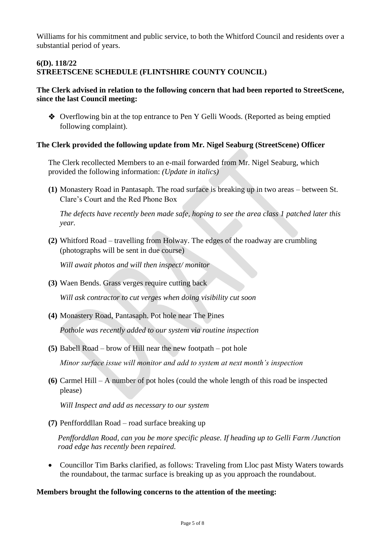Williams for his commitment and public service, to both the Whitford Council and residents over a substantial period of years.

#### **6(D). 118/22 STREETSCENE SCHEDULE (FLINTSHIRE COUNTY COUNCIL)**

#### **The Clerk advised in relation to the following concern that had been reported to StreetScene, since the last Council meeting:**

❖ Overflowing bin at the top entrance to Pen Y Gelli Woods. (Reported as being emptied following complaint).

#### **The Clerk provided the following update from Mr. Nigel Seaburg (StreetScene) Officer**

The Clerk recollected Members to an e-mail forwarded from Mr. Nigel Seaburg, which provided the following information: *(Update in italics)*

**(1)** Monastery Road in Pantasaph. The road surface is breaking up in two areas – between St. Clare's Court and the Red Phone Box

 *The defects have recently been made safe, hoping to see the area class 1 patched later this year.*

**(2)** Whitford Road – travelling from Holway. The edges of the roadway are crumbling (photographs will be sent in due course)

*Will await photos and will then inspect/ monitor*

**(3)** Waen Bends. Grass verges require cutting back

 *Will ask contractor to cut verges when doing visibility cut soon*

**(4)** Monastery Road, Pantasaph. Pot hole near The Pines

*Pothole was recently added to our system via routine inspection*

**(5)** Babell Road – brow of Hill near the new footpath – pot hole

 *Minor surface issue will monitor and add to system at next month's inspection*

**(6)** Carmel Hill – A number of pot holes (could the whole length of this road be inspected please)

 *Will Inspect and add as necessary to our system*

**(7)** Penfforddllan Road – road surface breaking up

 *Penfforddlan Road, can you be more specific please. If heading up to Gelli Farm /Junction road edge has recently been repaired.*

• Councillor Tim Barks clarified, as follows: Traveling from Lloc past Misty Waters towards the roundabout, the tarmac surface is breaking up as you approach the roundabout.

#### **Members brought the following concerns to the attention of the meeting:**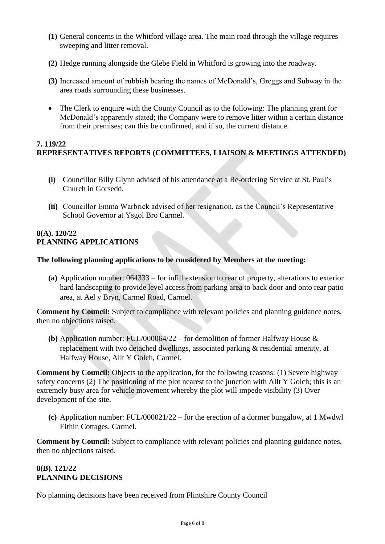- **(1)** General concerns in the Whitford village area. The main road through the village requires sweeping and litter removal.
- **(2)** Hedge running alongside the Glebe Field in Whitford is growing into the roadway.
- **(3)** Increased amount of rubbish bearing the names of McDonald's, Greggs and Subway in the area roads surrounding these businesses.
- The Clerk to enquire with the County Council as to the following: The planning grant for McDonald's apparently stated; the Company were to remove litter within a certain distance from their premises; can this be confirmed, and if so, the current distance.

## **7. 119/22 REPRESENTATIVES REPORTS (COMMITTEES, LIAISON & MEETINGS ATTENDED)**

- **(i)** Councillor Billy Glynn advised of his attendance at a Re-ordering Service at St. Paul's Church in Gorsedd.
- **(ii)** Councillor Emma Warbrick advised of her resignation, as the Council's Representative School Governor at Ysgol Bro Carmel.

#### **8(A). 120/22 PLANNING APPLICATIONS**

#### **The following planning applications to be considered by Members at the meeting:**

**(a)** Application number: 064333 – for infill extension to rear of property, alterations to exterior hard landscaping to provide level access from parking area to back door and onto rear patio area, at Ael y Bryn, Carmel Road, Carmel.

**Comment by Council:** Subject to compliance with relevant policies and planning guidance notes, then no objections raised.

**(b)** Application number: FUL/000064/22 – for demolition of former Halfway House & replacement with two detached dwellings, associated parking & residential amenity, at Halfway House, Allt Y Golch, Carmel.

**Comment by Council:** Objects to the application, for the following reasons: (1) Severe highway safety concerns (2) The positioning of the plot nearest to the junction with Allt Y Golch; this is an extremely busy area for vehicle movement whereby the plot will impede visibility (3) Over development of the site.

**(c)** Application number: FUL/000021/22 – for the erection of a dormer bungalow, at 1 Mwdwl Eithin Cottages, Carmel.

**Comment by Council:** Subject to compliance with relevant policies and planning guidance notes, then no objections raised.

## **8(B). 121/22 PLANNING DECISIONS**

No planning decisions have been received from Flintshire County Council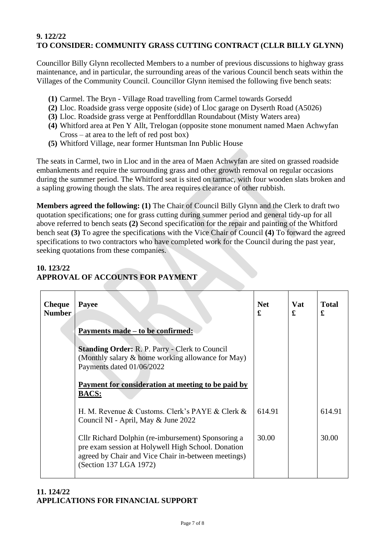## **9. 122/22 TO CONSIDER: COMMUNITY GRASS CUTTING CONTRACT (CLLR BILLY GLYNN)**

Councillor Billy Glynn recollected Members to a number of previous discussions to highway grass maintenance, and in particular, the surrounding areas of the various Council bench seats within the Villages of the Community Council. Councillor Glynn itemised the following five bench seats:

- **(1)** Carmel. The Bryn Village Road travelling from Carmel towards Gorsedd
- **(2)** Lloc. Roadside grass verge opposite (side) of Lloc garage on Dyserth Road (A5026)
- **(3)** Lloc. Roadside grass verge at Penfforddllan Roundabout (Misty Waters area)
- **(4)** Whitford area at Pen Y Allt, Trelogan (opposite stone monument named Maen Achwyfan Cross – at area to the left of red post box)
- **(5)** Whitford Village, near former Huntsman Inn Public House

The seats in Carmel, two in Lloc and in the area of Maen Achwyfan are sited on grassed roadside embankments and require the surrounding grass and other growth removal on regular occasions during the summer period. The Whitford seat is sited on tarmac, with four wooden slats broken and a sapling growing though the slats. The area requires clearance of other rubbish.

**Members agreed the following: (1)** The Chair of Council Billy Glynn and the Clerk to draft two quotation specifications; one for grass cutting during summer period and general tidy-up for all above referred to bench seats **(2)** Second specification for the repair and painting of the Whitford bench seat **(3)** To agree the specifications with the Vice Chair of Council **(4)** To forward the agreed specifications to two contractors who have completed work for the Council during the past year, seeking quotations from these companies.

## **10. 123/22**

## **APPROVAL OF ACCOUNTS FOR PAYMENT**

| <b>Cheque</b><br>Number | <b>Payee</b>                                                                                                                                                                              | <b>Net</b><br>£ | <b>Vat</b><br>£ | <b>Total</b><br>£ |
|-------------------------|-------------------------------------------------------------------------------------------------------------------------------------------------------------------------------------------|-----------------|-----------------|-------------------|
|                         | Payments made – to be confirmed:                                                                                                                                                          |                 |                 |                   |
|                         | <b>Standing Order: R. P. Parry - Clerk to Council</b><br>(Monthly salary & home working allowance for May)<br>Payments dated 01/06/2022                                                   |                 |                 |                   |
|                         | Payment for consideration at meeting to be paid by                                                                                                                                        |                 |                 |                   |
|                         | <b>BACS:</b>                                                                                                                                                                              |                 |                 |                   |
|                         | H. M. Revenue & Customs. Clerk's PAYE & Clerk $\&$<br>Council NI - April, May & June 2022                                                                                                 | 614.91          |                 | 614.91            |
|                         | Cllr Richard Dolphin (re-imbursement) Sponsoring a<br>pre exam session at Holywell High School. Donation<br>agreed by Chair and Vice Chair in-between meetings)<br>(Section 137 LGA 1972) | 30.00           |                 | 30.00             |

## **11. 124/22 APPLICATIONS FOR FINANCIAL SUPPORT**